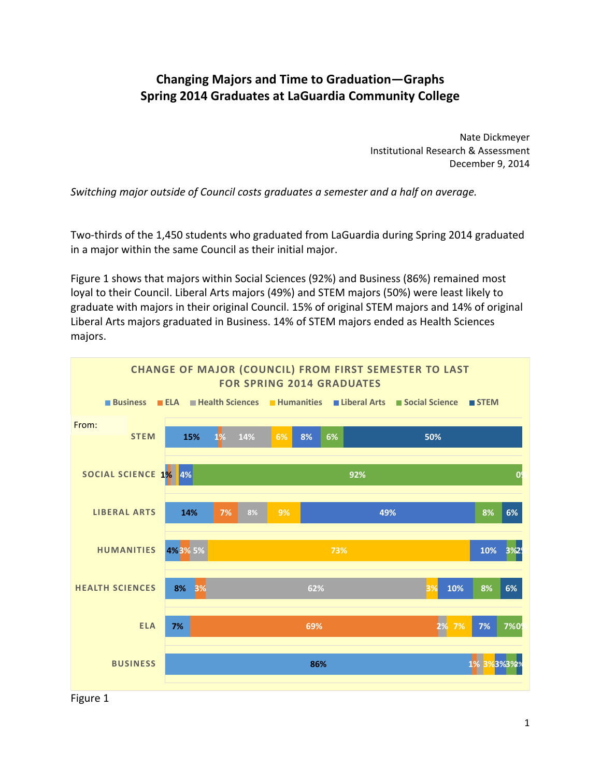## **Changing Majors and Time to Graduation—Graphs Spring 2014 Graduates at LaGuardia Community College**

 Nate Dickmeyer Institutional Research & Assessment December 9, 2014

Switching major outside of Council costs graduates a semester and a half on average.

 Two‐thirds of the 1,450 students who graduated from LaGuardia during Spring 2014 graduated in a major within the same Council as their initial major.

 Figure 1 shows that majors within Social Sciences (92%) and Business (86%) remained most loyal to their Council. Liberal Arts majors (49%) and STEM majors (50%) were least likely to graduate with majors in their original Council. 15% of original STEM majors and 14% of original Liberal Arts majors graduated in Business. 14% of STEM majors ended as Health Sciences majors.



Figure 1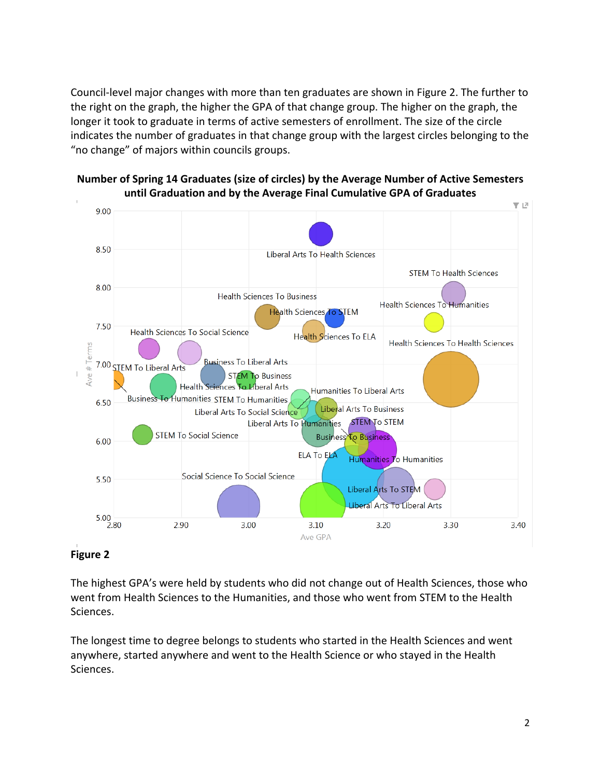Council‐level major changes with more than ten graduates are shown in Figure 2. The further to the right on the graph, the higher the GPA of that change group. The higher on the graph, the longer it took to graduate in terms of active semesters of enrollment. The size of the circle indicates the number of graduates in that change group with the largest circles belonging to the "no change" of majors within councils groups.





## **Figure 2**

 The highest GPA's were held by students who did not change out of Health Sciences, those who went from Health Sciences to the Humanities, and those who went from STEM to the Health Sciences.

 The longest time to degree belongs to students who started in the Health Sciences and went anywhere, started anywhere and went to the Health Science or who stayed in the Health Sciences.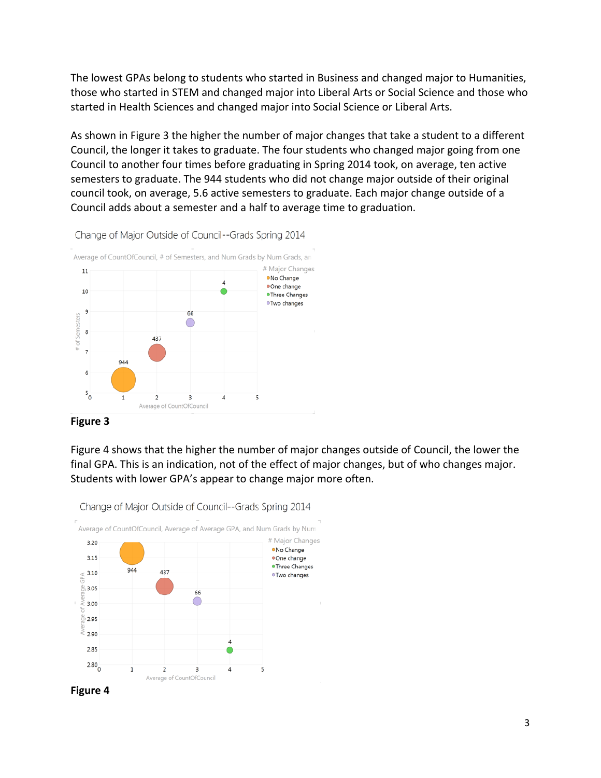The lowest GPAs belong to students who started in Business and changed major to Humanities, those who started in STEM and changed major into Liberal Arts or Social Science and those who started in Health Sciences and changed major into Social Science or Liberal Arts.

 As shown in Figure 3 the higher the number of major changes that take a student to a different Council, the longer it takes to graduate. The four students who changed major going from one Council to another four times before graduating in Spring 2014 took, on average, ten active semesters to graduate. The 944 students who did not change major outside of their original council took, on average, 5.6 active semesters to graduate. Each major change outside of a Council adds about a semester and a half to average time to graduation.



Change of Major Outside of Council--Grads Spring 2014

 **Figure 3**

 Figure 4 shows that the higher the number of major changes outside of Council, the lower the final GPA. This is an indication, not of the effect of major changes, but of who changes major. Students with lower GPA's appear to change major more often.



Change of Major Outside of Council--Grads Spring 2014